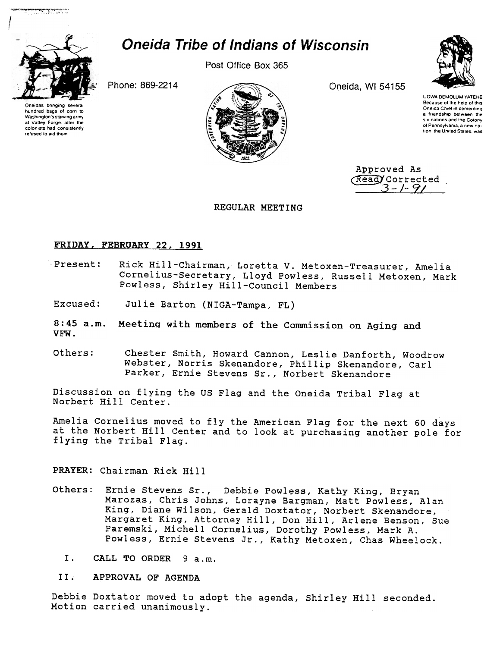

hundred bags 01 corn 10 Washington's starving army at Vatley Forge. after the colonists had consistently refused to aid them.

""~:~:':':~:.:::

# Oneida Tribe of Indians of Wisconsin

Post Office Box 365





UGWA DEMOLUM YATEHE Because of the help of this Oneida Chief in cementing a friendship between the six nations and the Colony of Pennsylvama. a new nation, the United States, was

Approved As  $\frac{Read}{3-f}$ . 9/

### REGULAR MEETING

### FRIDAY, FEBRUARY 22.1991

- Present: Rick Hill-Chairman, Loretta V. Metoxen-Treasurer, Amelia Cornelius-Secretary, Lloyd Powless, Russell Metoxen, Mark Powless, Shirley Hill-Council Members
- Julie Barton (NIGA-Tampa, FL) Excused:
- 8:45 a.m. Meeting with members of the Commission on Aging and VFW.
- Others: Chester Smith, Howard Cannon, Leslie Danforth, Woodrow Webster, Norris Skenandore, Phillip Skenandore, Carl Parker, Ernie Stevens Sr., Norbert Skenandore

Discussion on flying the US Flag and the Oneida Tribal Flag at Norbert Hill Center.

Amelia Cornelius moved to fly the American Flag for the next 60 days at the Norbert Hill Center and to look at purchasing another pole for flying the Tribal Flag.

PRAYER: Chairman Rick Hill

- Others: Ernie stevens Sr., Debbie Powless, Kathy King, Bryan Marozas, Chris Johns, Lorayne Bargman, Matt Powless, Alan King, Diane Wilson, Gerald Doxtator, Norbert Skenandore, Margaret King, Attorney Hill, Don Hill, Arlene Benson, Sue paremski, Michell Cornelius, Dorothy Powless, Mark A. Powless, Ernie Stevens Jr., Kathy Metoxen, Chas Wheelock.
	- I. CALL TO ORDER 9 a.m.
	- II. APPROVAL OF AGENDA

Debbie Doxtator moved to adopt the agenda, Shirley Hill seconded. Motion carried unanimously.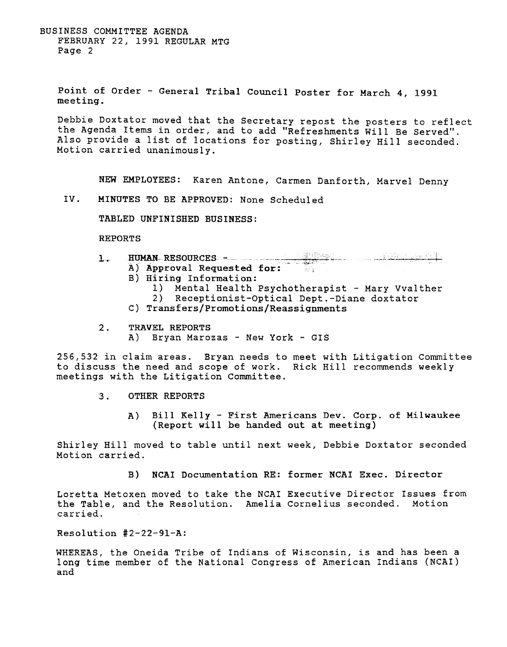BUSINESS COMMITTEE AGENDA FEBRUARY 22, 1991 REGULAR MTG Page 2

Point of Order - General Tribal Council Poster for March 4, 1991 meeting.

Debbie Doxtator moved that the Secretary repost the posters to reflect the Agenda Items in order, and to add "Refreshments Will Be Served". Also provide a list of locations for posting, Shirley Hill seconded. Motion carried unanimously.

NEW EMPLOYEES: Karen Antone, Carmen Danforth, Marvel Denny

IV. MINUTES TO BE APPROVED: None Scheduled

TABLED UNFINISHED BUSINESS:

REPORTS

1. HUMAN RESOURCES -<br>
A) Approval Requested for: A) Approval Requested for:

- B) Hiring Information:
	- 1) Mental Health Psychotherapist Mary Vvalther<br>2) Receptionist-Optical Dept.-Diane doxtator
	- 2) Receptionist-Optical Dept.-Diane doxtator
- C) Transfers/Promotions/Reassignments
- 2. TRAVEL REPORTS
	- A) Bryan Marozas New York GIS

256,532 in claim areas. Bryan needs to meet with Litigation Committee to discuss the need and scope of work. Rick Hill recommends weekly meetings with the Litigation Committee.

- 3. OTHER REPORTS
	- A) Bill Kelly First Americans Dev. Corp. of Milwaukee (Report will be handed out at meeting)

Shirley Hill moved to table until next week, Debbie Doxtator seconded Motion carried.

B) NCAI Documentation RE: former NCAI Exec. Director

Loretta Metoxen moved to take the NCAI Executive Director Issues from the Table, and the Resolution. Amelia Cornelius seconded. Motion carried.

Resolution #2-22-91-A:

WHEREAS, the Oneida Tribe of Indians of Wisconsin, is and has been a long time member of the National Congress of American Indians (NCAI) and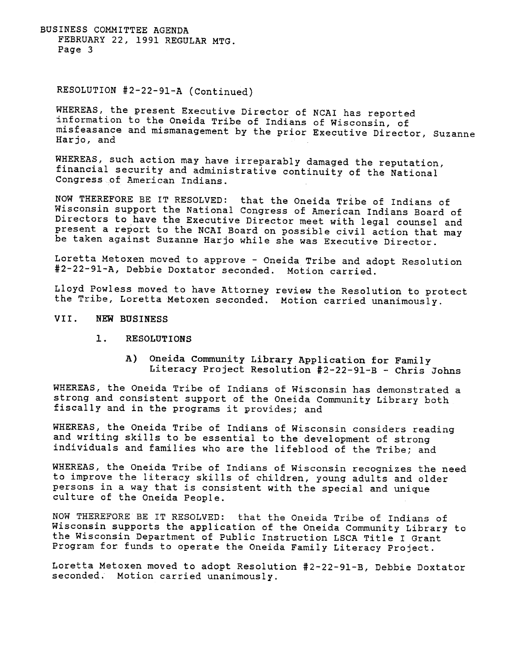BUSINESS COMMITTEE AGENDA FEBRUARY 22, 1991 REGULAR MTG. Page 3

### RESOLUTION #2-22-91-A (Continued)

WHEREAS, the present Executive Director of NCAI has reported 'information to the Oneida Tribe of Indians of Wisconsin, of misfeasance and mismanagement by the prior Executive Director, Suzanne Harjo, and

WHEREAS, such action may have irreparably damaged the reputation, financial security and administrative continuity of the National Congress of American Indians.

NOW THEREFORE BE IT RESOLVED: that the Oneida Tribe of Indians of Wisconsin support the National Congress of American Indians Board of Directors to have the Executive Director meet with legal counsel and present a report to the NCAI Board on possible civil action that may be taken against Suzanne Harjo while she was Executive Director.

Loretta Metoxen moved to approve - Oneida Tribe and adopt Resolution #2-22-91-A, Debbie Doxtator seconded. Motion carried.

Lloyd Powless moved to have Attorney review the Resolution to protect the Tribe, Loretta Metoxen seconded. Motion carried unanimously.

#### VII. NEW BUSINESS

- $1.$ RESOLUTIONS
	- A) Oneida Community Library Application for Family Literacy Project Resolution  $#2-22-91-B$  - Chris Johns

WHEREAS, the Oneida Tribe of Indians of Wisconsin has demonstrated a strong and consistent support of the Oneida Community Library both fiscally and in the programs it provides; and

WHEREAS, the Oneida Tribe of Indians of Wisconsin considers reading and writing skills to be essential to the development of strong individuals and families who are the lifeblood of the Tribe; and

WHEREAS, the Oneida Tribe of Indians of Wisconsin recognizes the need to improve the literacy skills of children, young adults and older persons in a way that is consistent with the special and unique culture of the Oneida People.

NOW THEREFORE BE IT RESOLVED: that the Oneida Tribe of Indians of Wisconsin supports the application of the Oneida Community Library to the Wisconsin Department of Public Instruction LSCA Title I Grant Program for funds to operate the Oneida Family Literacy Project.

Loretta Metoxen moved to adopt Resolution #2-22-91-B, Debbie Doxtator seconded. Motion carried unanimously.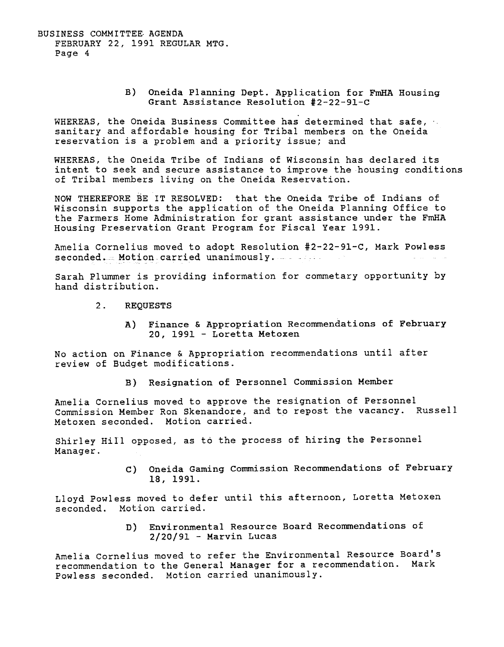BUSINESS COMMITTEE. AGENDA FEBRUARY 22, 1991 REGULAR MTG. Page 4

> B) Oneida Planning Dept. Application for FmHA Housing Grant Assistance Resolution #2-22-91-C

WHEREAS, the Oneida Business Committee has determined that safe, sanitary and affordable housing for Tribal members on the Oneida reservation is a problem and a priority issue; and

WHEREAS, the Oneida Tribe of Indians of Wisconsin has declared its intent to seek and secure assistance to improve the housing conditions of Tribal members living on the Oneida Reservation.

NOW THEREFORE BE IT RESOLVED: that the Oneida Tribe of Indians of Wisconsin supports the application of the Oneida Planning Office to the Farmers Home Administration for grant assistance under the FmHA Housing Preservation Grant Program for Fiscal Year 1991.

Amelia Cornelius moved to adopt Resolution #2-22-91-C, Mark Powless seconded. Motion carried unanimously. A second

Sarah Plummer is providing information for commetary opportunity by hand distribution.

- 2. REQUESTS
	- A) Finance & Appropriation Recommendations of February 20, 1991 -Loretta Metoxen

No action on Finance & Appropriation recommendations until after review of Budget modifications.

B) Resignation of Personnel Commission Member

Amelia Cornelius moved to approve the resignation of Personnel Commission Member Ron Skenandore, and to repost the vacancy. Russell Metoxen seconded. Motion carried.

Shirley Hill opposed, as to the process of hiring the Personnel Manager.

> C) Oneida Gaming Commission Recommendations of Februar 18, 1991.

Lloyd Powless moved to defer until this afternoon, Loretta Metoxen seconded. Motion carried.

> D) Environmental Resource Board Recommendations o  $2/20/91$  - Marvin Lucas

Amelia Cornelius moved to refer the Environmental Resource Board's recommendation to the General Manager for a recommendation. Mark Powless seconded. Motion carried unanimously.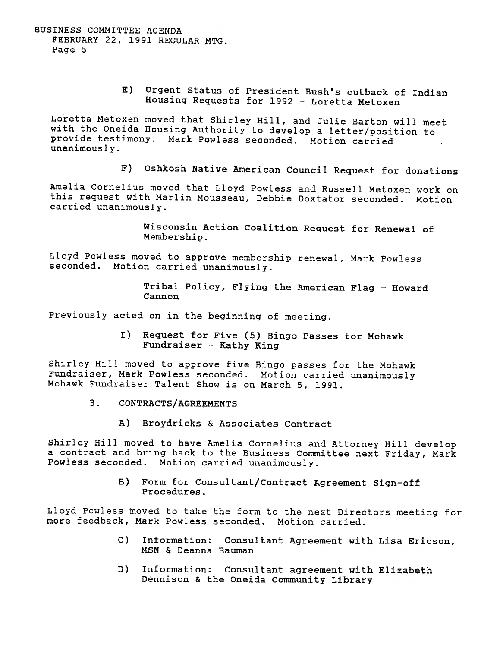BUSINESS COMMITTEE AGENDA FEBRUARY 22, 1991 REGULAR MTG. Page 5

> E) Urgent status of President Bush's cutback of Indian Housing Requests for 1992 - Loretta Metoxen

Loretta Metoxen moved that Shirley Hill, and Julie Barton will meet with the Oneida Housing Authority to develop a letter/position to provide testimony. Mark Powless seconded. Motion carried unanimously.

F) Oshkosh Native American Council Request for donations

Amelia Cornelius moved that Lloyd Powless and Russell Metoxen work on this request with Marlin Mousseau, Debbie Doxtator seconded. Motion carried unanimously.

> Wisconsin Action Coalition Request for Renewal of Membership.

Lloyd Powless moved to approve membership renewal, Mark Powless seconded. Motion carried unanimously.

> Tribal Policy, Flying the American Flag - Howard Cannon

Previously acted on in the beginning of meeting.

 $I$ ) Request for Five (5) Bingo Passes for Mohawk Fundraiser - Kathy King

Shirley Hill moved to approve five Bingo passes for the Mohawk Fundraiser, Mark Powless seconded. Motion carried unanimously Mohawk Fundraiser Talent Show is on March 5, 1991.

- 3. CONTRACTS/AGREEMENTS
	- A) Broydricks & Associates Contract

Shirley Hill moved to have Amelia Cornelius and Attorney Hill develop a contract and bring back to the Business Committee next Friday, Mark Powless seconded. Motion carried unanimously.

B) Form for Consultant/Contract Agreement Sign-off<br>Procedures.

Lloyd Powless moved to take the form to the next Directors meeting for more feedback, Mark Powless seconded. Motion carried.

- c) Information: Consultant Agreement with Lisa Ericson, MSN & Deanna Bauman
- D) Information: Consultant agreement with Elizabeth Dennison & the Oneida Community Library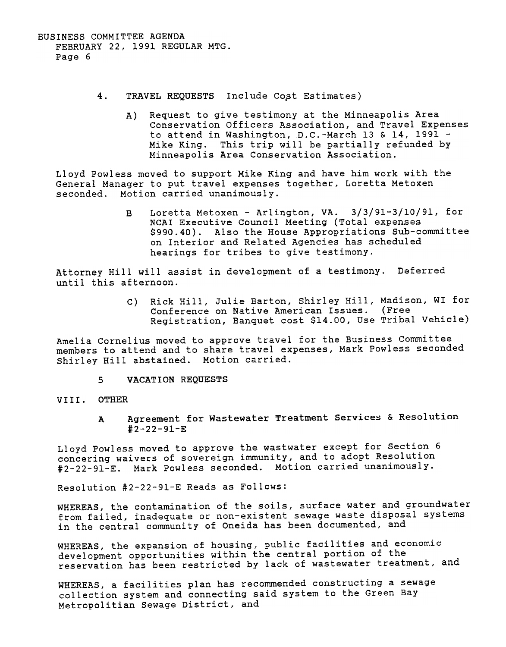- $4.$ TRAVEL REQUESTS Include Cost Estimate
	- A) Request to give testimony at the Minneapolis Area Conservation Officers Association, and Travel Expenses to attend in Washington, D.C.-March 13 & 14, 1991 - Mike King. This trip will be partially refunded by Minneapolis Area Conservation Association.

Lloyd Powless moved to support Mike King and have him work with the General Manager to put travel expenses together, Loretta Metoxen seconded. Motion carried unanimously.

> Loretta Metoxen - Arlington, VA.  $3/3/91-3/10/91$ , for NCAI Executive Council Meeting (Total expenses \$990.40). Also the House Appropriations Sub-committee on Interior and Related Agencies has scheduled hearings for tribes to give testimony. B

Attorney Hill will assist in development of a testimony. Deferred until this afternoon.

> C) Rick Hill, Julie Barton, Shirley Hill, Madison, WI for Conference on Native American Issues. (Free Registration, Banquet cost \$14.00, Use Tribal Vehicle)

Amelia Cornelius moved to approve travel for the Business Committee members to attend and to share travel expenses, Mark Powless seconded Shirley Hill abstained. Motion carried.

5 VACATION REQUESTS

### VIII. OTHER

Agreement for Wastewater Treatment Services & Resolution #2-22-91-E A

Lloyd Powless moved to approve the wastwater except for Section 6 concering waivers of sovereign immunity, and to adopt Resolution #2-22-91-E. Mark Powless seconded. Motion carried unanimously.

Resolution #2-22-91-E Reads as Follows:

WHEREAS, the contamination of the soils, surface water and groundwater from failed, inadequate or non-existent sewage waste disposal systems in the central community of Oneida has been documented, and

actoropment opportunionel met and the lack of wastewater treatment, and WHEREAS, the expansion of housing, public facilities and economic development opportunities within the central portion of the

WHEREAS, a facilities plan has recommended constructing a sewage collection system and connecting said system to the Green Bay Metropolitian Sewage District, and